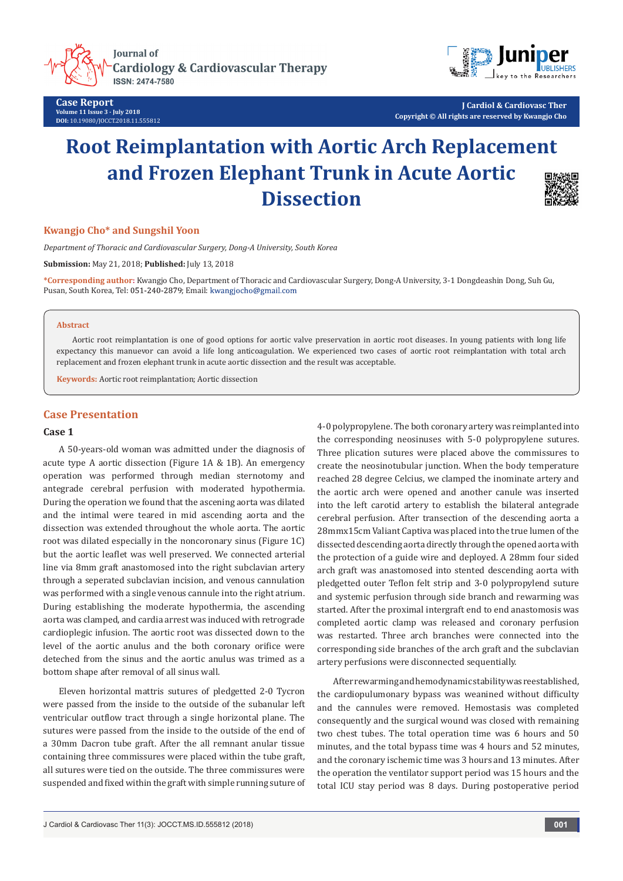**Journal of Cardiology & Cardiovascular Therapy** ISSN: 2474-7580

**Case Report Volume 11 Issue 3 - July 2018 DOI:** [10.19080/JOCCT.2018.11.555812](http://dx.doi.org/10.19080/JOCCT.2018.11.555812)



**J Cardiol & Cardiovasc Ther Copyright © All rights are reserved by Kwangjo Cho**

# **Root Reimplantation with Aortic Arch Replacement and Frozen Elephant Trunk in Acute Aortic Dissection**



## **Kwangjo Cho\* and Sungshil Yoon**

*Department of Thoracic and Cardiovascular Surgery, Dong-A University, South Korea*

**Submission:** May 21, 2018; **Published:** July 13, 2018

**\*Corresponding author:** Kwangjo Cho, Department of Thoracic and Cardiovascular Surgery, Dong-A University, 3-1 Dongdeashin Dong, Suh Gu, Pusan, South Korea, Tel: 051-240-2879; Email: kwangjocho@gmail.com

#### **Abstract**

Aortic root reimplantation is one of good options for aortic valve preservation in aortic root diseases. In young patients with long life expectancy this manuevor can avoid a life long anticoagulation. We experienced two cases of aortic root reimplantation with total arch replacement and frozen elephant trunk in acute aortic dissection and the result was acceptable.

**Keywords:** Aortic root reimplantation; Aortic dissection

# **Case Presentation**

## **Case 1**

A 50-years-old woman was admitted under the diagnosis of acute type A aortic dissection (Figure 1A & 1B). An emergency operation was performed through median sternotomy and antegrade cerebral perfusion with moderated hypothermia. During the operation we found that the ascening aorta was dilated and the intimal were teared in mid ascending aorta and the dissection was extended throughout the whole aorta. The aortic root was dilated especially in the noncoronary sinus (Figure 1C) but the aortic leaflet was well preserved. We connected arterial line via 8mm graft anastomosed into the right subclavian artery through a seperated subclavian incision, and venous cannulation was performed with a single venous cannule into the right atrium. During establishing the moderate hypothermia, the ascending aorta was clamped, and cardia arrest was induced with retrograde cardioplegic infusion. The aortic root was dissected down to the level of the aortic anulus and the both coronary orifice were deteched from the sinus and the aortic anulus was trimed as a bottom shape after removal of all sinus wall.

Eleven horizontal mattris sutures of pledgetted 2-0 Tycron were passed from the inside to the outside of the subanular left ventricular outflow tract through a single horizontal plane. The sutures were passed from the inside to the outside of the end of a 30mm Dacron tube graft. After the all remnant anular tissue containing three commissures were placed within the tube graft, all sutures were tied on the outside. The three commissures were suspended and fixed within the graft with simple running suture of 4-0 polypropylene. The both coronary artery was reimplanted into the corresponding neosinuses with 5-0 polypropylene sutures. Three plication sutures were placed above the commissures to create the neosinotubular junction. When the body temperature reached 28 degree Celcius, we clamped the inominate artery and the aortic arch were opened and another canule was inserted into the left carotid artery to establish the bilateral antegrade cerebral perfusion. After transection of the descending aorta a 28mmx15cm Valiant Captiva was placed into the true lumen of the dissected descending aorta directly through the opened aorta with the protection of a guide wire and deployed. A 28mm four sided arch graft was anastomosed into stented descending aorta with pledgetted outer Teflon felt strip and 3-0 polypropylend suture and systemic perfusion through side branch and rewarming was started. After the proximal intergraft end to end anastomosis was completed aortic clamp was released and coronary perfusion was restarted. Three arch branches were connected into the corresponding side branches of the arch graft and the subclavian artery perfusions were disconnected sequentially.

After rewarming and hemodynamic stability was reestablished, the cardiopulumonary bypass was weanined without difficulty and the cannules were removed. Hemostasis was completed consequently and the surgical wound was closed with remaining two chest tubes. The total operation time was 6 hours and 50 minutes, and the total bypass time was 4 hours and 52 minutes, and the coronary ischemic time was 3 hours and 13 minutes. After the operation the ventilator support period was 15 hours and the total ICU stay period was 8 days. During postoperative period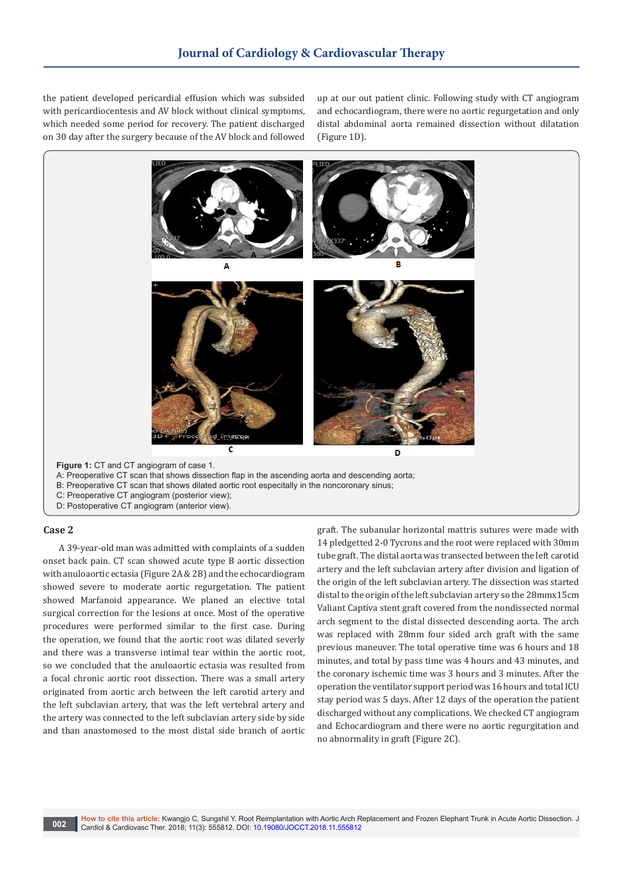the patient developed pericardial effusion which was subsided with pericardiocentesis and AV block without clinical symptoms, which needed some period for recovery. The patient discharged on 30 day after the surgery because of the AV block and followed

up at our out patient clinic. Following study with CT angiogram and echocardiogram, there were no aortic regurgetation and only distal abdominal aorta remained dissection without dilatation (Figure 1D).



## **Case 2**

A 39-year-old man was admitted with complaints of a sudden onset back pain. CT scan showed acute type B aortic dissection with anuloaortic ectasia (Figure 2A & 2B) and the echocardiogram showed severe to moderate aortic regurgetation. The patient showed Marfanoid appearance. We planed an elective total surgical correction for the lesions at once. Most of the operative procedures were performed similar to the first case. During the operation, we found that the aortic root was dilated severly and there was a transverse intimal tear within the aortic root, so we concluded that the anuloaortic ectasia was resulted from a focal chronic aortic root dissection. There was a small artery originated from aortic arch between the left carotid artery and the left subclavian artery, that was the left vertebral artery and the artery was connected to the left subclavian artery side by side and than anastomosed to the most distal side branch of aortic graft. The subanular horizontal mattris sutures were made with 14 pledgetted 2-0 Tycrons and the root were replaced with 30mm tube graft. The distal aorta was transected between the left carotid artery and the left subclavian artery after division and ligation of the origin of the left subclavian artery. The dissection was started distal to the origin of the left subclavian artery so the 28mmx15cm Valiant Captiva stent graft covered from the nondissected normal arch segment to the distal dissected descending aorta. The arch was replaced with 28mm four sided arch graft with the same previous maneuver. The total operative time was 6 hours and 18 minutes, and total by pass time was 4 hours and 43 minutes, and the coronary ischemic time was 3 hours and 3 minutes. After the operation the ventilator support period was 16 hours and total ICU stay period was 5 days. After 12 days of the operation the patient discharged without any complications. We checked CT angiogram and Echocardiogram and there were no aortic regurgitation and no abnormality in graft (Figure 2C).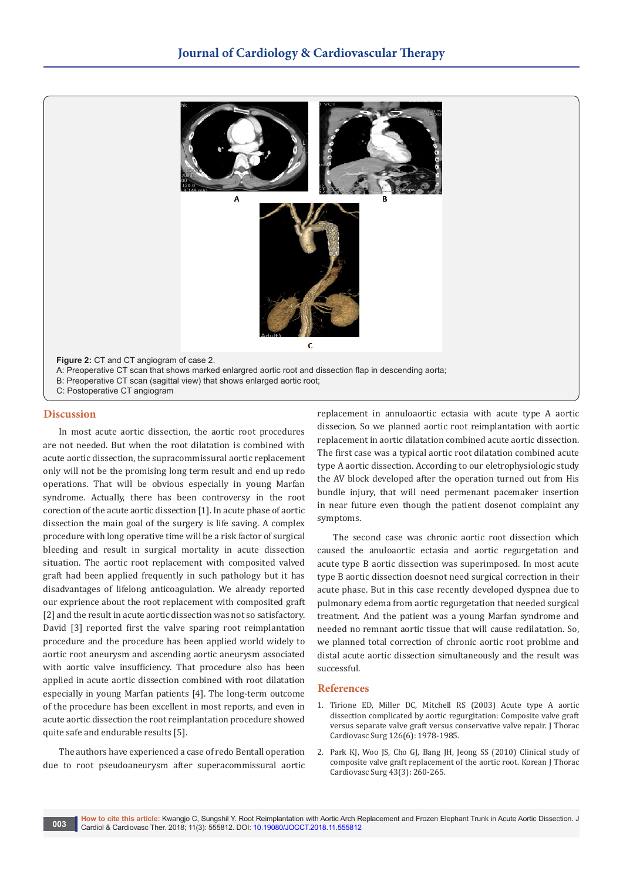

## **Discussion**

In most acute aortic dissection, the aortic root procedures are not needed. But when the root dilatation is combined with acute aortic dissection, the supracommissural aortic replacement only will not be the promising long term result and end up redo operations. That will be obvious especially in young Marfan syndrome. Actually, there has been controversy in the root corection of the acute aortic dissection [1]. In acute phase of aortic dissection the main goal of the surgery is life saving. A complex procedure with long operative time will be a risk factor of surgical bleeding and result in surgical mortality in acute dissection situation. The aortic root replacement with composited valved graft had been applied frequently in such pathology but it has disadvantages of lifelong anticoagulation. We already reported our exprience about the root replacement with composited graft [2] and the result in acute aortic dissection was not so satisfactory. David [3] reported first the valve sparing root reimplantation procedure and the procedure has been applied world widely to aortic root aneurysm and ascending aortic aneurysm associated with aortic valve insufficiency. That procedure also has been applied in acute aortic dissection combined with root dilatation especially in young Marfan patients [4]. The long-term outcome of the procedure has been excellent in most reports, and even in acute aortic dissection the root reimplantation procedure showed quite safe and endurable results [5].

The authors have experienced a case of redo Bentall operation due to root pseudoaneurysm after superacommissural aortic replacement in annuloaortic ectasia with acute type A aortic dissecion. So we planned aortic root reimplantation with aortic replacement in aortic dilatation combined acute aortic dissection. The first case was a typical aortic root dilatation combined acute type A aortic dissection. According to our eletrophysiologic study the AV block developed after the operation turned out from His bundle injury, that will need permenant pacemaker insertion in near future even though the patient dosenot complaint any symptoms.

The second case was chronic aortic root dissection which caused the anuloaortic ectasia and aortic regurgetation and acute type B aortic dissection was superimposed. In most acute type B aortic dissection doesnot need surgical correction in their acute phase. But in this case recently developed dyspnea due to pulmonary edema from aortic regurgetation that needed surgical treatment. And the patient was a young Marfan syndrome and needed no remnant aortic tissue that will cause redilatation. So, we planned total correction of chronic aortic root problme and distal acute aortic dissection simultaneously and the result was successful.

#### **References**

- 1. [Tirione ED, Miller DC, Mitchell RS \(2003\) Acute type A aortic](https://www.ncbi.nlm.nih.gov/pubmed/14688716)  [dissection complicated by aortic regurgitation: Composite valve graft](https://www.ncbi.nlm.nih.gov/pubmed/14688716)  [versus separate valve graft versus conservative valve repair. J Thorac](https://www.ncbi.nlm.nih.gov/pubmed/14688716)  [Cardiovasc Surg 126\(6\): 1978-1985.](https://www.ncbi.nlm.nih.gov/pubmed/14688716)
- 2. [Park KJ, Woo JS, Cho GJ, Bang JH, Jeong SS \(2010\) Clinical study of](http://www.kjtcvs.org/journal/view.html?volume=43&number=3&spage=260&year=2010)  [composite valve graft replacement of the aortic root. Korean J Thorac](http://www.kjtcvs.org/journal/view.html?volume=43&number=3&spage=260&year=2010)  [Cardiovasc Surg 43\(3\): 260-265.](http://www.kjtcvs.org/journal/view.html?volume=43&number=3&spage=260&year=2010)